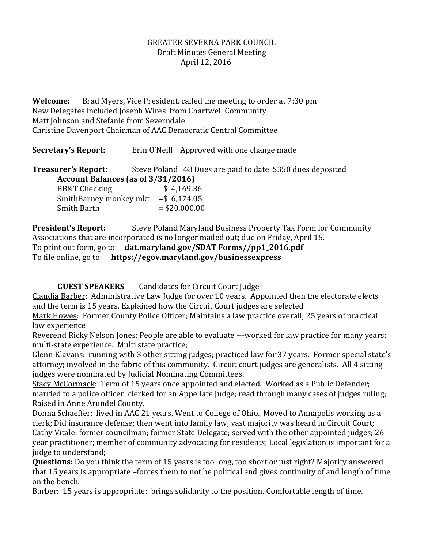## GREATER SEVERNA PARK COUNCIL Draft Minutes General Meeting April 12, 2016

**Welcome:** Brad Myers, Vice President, called the meeting to order at 7:30 pm New Delegates included Joseph Wires from Chartwell Community Matt Johnson and Stefanie from Severndale Christine Davenport Chairman of AAC Democratic Central Committee

**Secretary's Report:** Erin O'Neill Approved with one change made

**Treasurer's Report:** Steve Poland 48 Dues are paid to date \$350 dues deposited **Account Balances (as of 3/31/2016)** BB&T Checking  $= $4,169.36$ SmithBarney monkey mkt =  $$6,174.05$  $Smith$  Barth  $= $20,000.00$ 

**President's Report:** Steve Poland Maryland Business Property Tax Form for Community Associations that are incorporated is no longer mailed out; due on Friday, April 15. To print out form, go to: **dat.maryland.gov/SDAT Forms//pp1\_2016.pdf** To file online, go to: **https://egov.maryland.gov/businessexpress**

**GUEST SPEAKERS** Candidates for Circuit Court Judge

Claudia Barber: Administrative Law Judge for over 10 years. Appointed then the electorate elects and the term is 15 years. Explained how the Circuit Court judges are selected

Mark Howes: Former County Police Officer; Maintains a law practice overall; 25 years of practical law experience

Reverend Ricky Nelson Jones: People are able to evaluate ---worked for law practice for many years; multi-state experience. Multi state practice;

Glenn Klavans: running with 3 other sitting judges; practiced law for 37 years. Former special state's attorney; involved in the fabric of this community. Circuit court judges are generalists. All 4 sitting judges were nominated by Judicial Nominating Committees.

Stacy McCormack: Term of 15 years once appointed and elected. Worked as a Public Defender; married to a police officer; clerked for an Appellate Judge; read through many cases of judges ruling; Raised in Anne Arundel County.

Donna Schaeffer: lived in AAC 21 years. Went to College of Ohio. Moved to Annapolis working as a clerk; Did insurance defense; then went into family law; vast majority was heard in Circuit Court; Cathy Vitale: former councilman; former State Delegate; served with the other appointed judges; 26 year practitioner; member of community advocating for residents; Local legislation is important for a judge to understand;

**Questions:** Do you think the term of 15 years is too long, too short or just right? Majority answered that 15 years is appropriate –forces them to not be political and gives continuity of and length of time on the bench.

Barber: 15 years is appropriate: brings solidarity to the position. Comfortable length of time.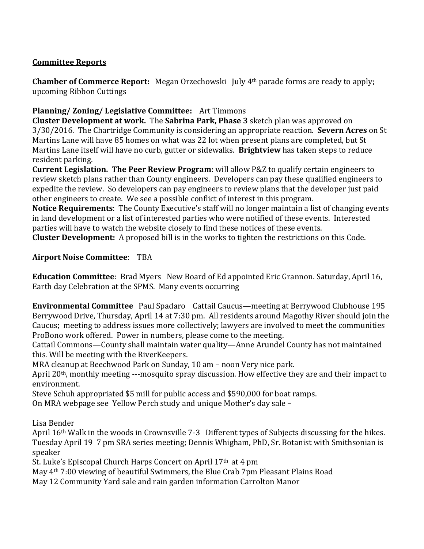# **Committee Reports**

**Chamber of Commerce Report:** Megan Orzechowski July 4th parade forms are ready to apply; upcoming Ribbon Cuttings

# **Planning/ Zoning/ Legislative Committee:** Art Timmons

**Cluster Development at work.** The **Sabrina Park, Phase 3** sketch plan was approved on 3/30/2016. The Chartridge Community is considering an appropriate reaction. **Severn Acres** on St Martins Lane will have 85 homes on what was 22 lot when present plans are completed, but St Martins Lane itself will have no curb, gutter or sidewalks. **Brightview** has taken steps to reduce resident parking.

**Current Legislation. The Peer Review Program**: will allow P&Z to qualify certain engineers to review sketch plans rather than County engineers. Developers can pay these qualified engineers to expedite the review. So developers can pay engineers to review plans that the developer just paid other engineers to create. We see a possible conflict of interest in this program.

**Notice Requirements**: The County Executive's staff will no longer maintain a list of changing events in land development or a list of interested parties who were notified of these events. Interested parties will have to watch the website closely to find these notices of these events.

**Cluster Development:** A proposed bill is in the works to tighten the restrictions on this Code.

## **Airport Noise Committee**: TBA

**Education Committee**: Brad Myers New Board of Ed appointed Eric Grannon. Saturday, April 16, Earth day Celebration at the SPMS. Many events occurring

**Environmental Committee** Paul Spadaro Cattail Caucus—meeting at Berrywood Clubhouse 195 Berrywood Drive, Thursday, April 14 at 7:30 pm. All residents around Magothy River should join the Caucus; meeting to address issues more collectively; lawyers are involved to meet the communities ProBono work offered. Power in numbers, please come to the meeting.

Cattail Commons—County shall maintain water quality—Anne Arundel County has not maintained this. Will be meeting with the RiverKeepers.

MRA cleanup at Beechwood Park on Sunday, 10 am – noon Very nice park.

April 20th, monthly meeting ---mosquito spray discussion. How effective they are and their impact to environment.

Steve Schuh appropriated \$5 mill for public access and \$590,000 for boat ramps.

On MRA webpage see Yellow Perch study and unique Mother's day sale –

Lisa Bender

April 16th Walk in the woods in Crownsville 7-3 Different types of Subjects discussing for the hikes. Tuesday April 19 7 pm SRA series meeting; Dennis Whigham, PhD, Sr. Botanist with Smithsonian is speaker

St. Luke's Episcopal Church Harps Concert on April 17th at 4 pm

May 4th 7:00 viewing of beautiful Swimmers, the Blue Crab 7pm Pleasant Plains Road

May 12 Community Yard sale and rain garden information Carrolton Manor